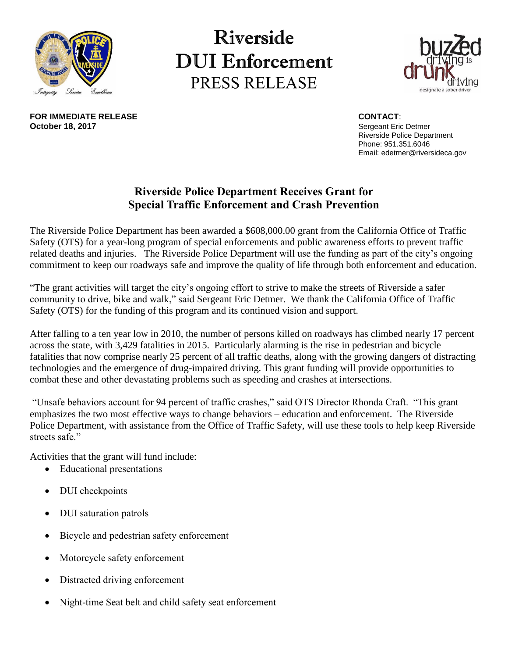

**FOR IMMEDIATE RELEASE CONTACT**: **OCTOBER 18, 2017**<br>**October 18, 2017**<br>**October 18, 2017** 

## Riverside **DUI** Enforcement PRESS RELEASE



Riverside Police Department Phone: 951.351.6046 Email: edetmer@riversideca.gov

## **Riverside Police Department Receives Grant for Special Traffic Enforcement and Crash Prevention**

The Riverside Police Department has been awarded a \$608,000.00 grant from the California Office of Traffic Safety (OTS) for a year-long program of special enforcements and public awareness efforts to prevent traffic related deaths and injuries. The Riverside Police Department will use the funding as part of the city's ongoing commitment to keep our roadways safe and improve the quality of life through both enforcement and education.

"The grant activities will target the city's ongoing effort to strive to make the streets of Riverside a safer community to drive, bike and walk," said Sergeant Eric Detmer. We thank the California Office of Traffic Safety (OTS) for the funding of this program and its continued vision and support.

After falling to a ten year low in 2010, the number of persons killed on roadways has climbed nearly 17 percent across the state, with 3,429 fatalities in 2015. Particularly alarming is the rise in pedestrian and bicycle fatalities that now comprise nearly 25 percent of all traffic deaths, along with the growing dangers of distracting technologies and the emergence of drug-impaired driving. This grant funding will provide opportunities to combat these and other devastating problems such as speeding and crashes at intersections.

"Unsafe behaviors account for 94 percent of traffic crashes," said OTS Director Rhonda Craft. "This grant emphasizes the two most effective ways to change behaviors – education and enforcement. The Riverside Police Department, with assistance from the Office of Traffic Safety, will use these tools to help keep Riverside streets safe."

Activities that the grant will fund include:

- Educational presentations
- DUI checkpoints
- DUI saturation patrols
- Bicycle and pedestrian safety enforcement
- Motorcycle safety enforcement
- Distracted driving enforcement
- Night-time Seat belt and child safety seat enforcement